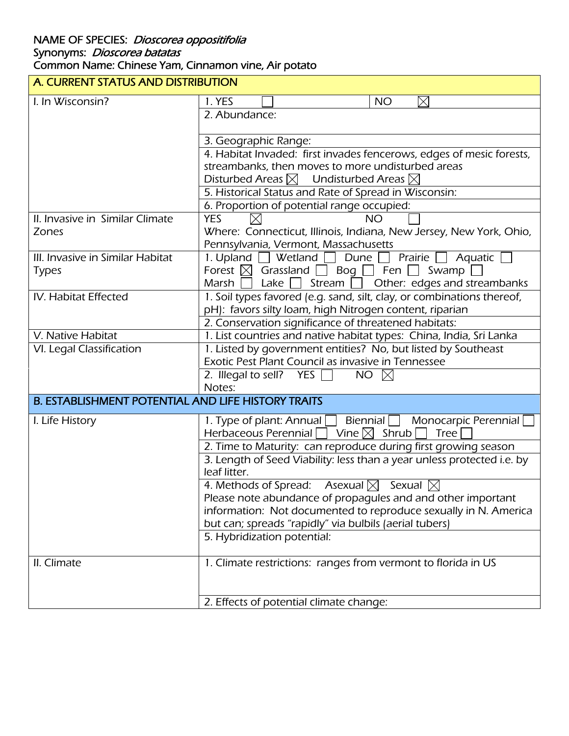## NAME OF SPECIES: *Dioscorea oppositifolia* Synonyms: *Dioscorea batatas* Common Name: Chinese Yam, Cinnamon vine, Air potato

| A. CURRENT STATUS AND DISTRIBUTION                        |                                                                                     |  |
|-----------------------------------------------------------|-------------------------------------------------------------------------------------|--|
| I. In Wisconsin?                                          | 1. YES<br>$\boxtimes$<br><b>NO</b>                                                  |  |
|                                                           | 2. Abundance:                                                                       |  |
|                                                           | 3. Geographic Range:                                                                |  |
|                                                           | 4. Habitat Invaded: first invades fencerows, edges of mesic forests,                |  |
|                                                           | streambanks, then moves to more undisturbed areas                                   |  |
|                                                           | Disturbed Areas $\boxtimes$ Undisturbed Areas $\boxtimes$                           |  |
|                                                           | 5. Historical Status and Rate of Spread in Wisconsin:                               |  |
|                                                           | 6. Proportion of potential range occupied:                                          |  |
| II. Invasive in Similar Climate                           | <b>YES</b><br><b>NO</b>                                                             |  |
| Zones                                                     | Where: Connecticut, Illinois, Indiana, New Jersey, New York, Ohio,                  |  |
|                                                           | Pennsylvania, Vermont, Massachusetts                                                |  |
| III. Invasive in Similar Habitat                          | $\Box$ Prairie<br>1. Upland $\Box$ Wetland<br>$\Box$ Dune $\Box$<br>Aquatic         |  |
| <b>Types</b>                                              | Forest $\boxtimes$ Grassland $\Box$ Bog $\Box$ Fen $\Box$ Swamp                     |  |
|                                                           | Stream $\Box$ Other: edges and streambanks<br>Marsh    <br>Lake $\vert \ \vert$     |  |
| IV. Habitat Effected                                      | 1. Soil types favored (e.g. sand, silt, clay, or combinations thereof,              |  |
|                                                           | pH): favors silty loam, high Nitrogen content, riparian                             |  |
|                                                           | 2. Conservation significance of threatened habitats:                                |  |
| V. Native Habitat                                         | 1. List countries and native habitat types: China, India, Sri Lanka                 |  |
| VI. Legal Classification                                  | 1. Listed by government entities? No, but listed by Southeast                       |  |
|                                                           | Exotic Pest Plant Council as invasive in Tennessee                                  |  |
|                                                           | NO $\boxtimes$<br>2. Illegal to sell? YES $\Box$                                    |  |
|                                                           | Notes:                                                                              |  |
| <b>B. ESTABLISHMENT POTENTIAL AND LIFE HISTORY TRAITS</b> |                                                                                     |  |
| I. Life History                                           | $\mathsf{B}$ iennial $\Box$ Monocarpic Perennial<br>1. Type of plant: Annual $\Box$ |  |
|                                                           | Herbaceous Perennial $\Box$ Vine $\boxtimes$ Shrub<br><b>Tree</b>                   |  |
|                                                           | 2. Time to Maturity: can reproduce during first growing season                      |  |
|                                                           | 3. Length of Seed Viability: less than a year unless protected i.e. by              |  |
|                                                           | leaf litter.                                                                        |  |
|                                                           | 4. Methods of Spread: Asexual $\boxtimes$<br>Sexual $\boxtimes$                     |  |
|                                                           | Please note abundance of propagules and and other important                         |  |
|                                                           | information: Not documented to reproduce sexually in N. America                     |  |
|                                                           | but can; spreads "rapidly" via bulbils (aerial tubers)                              |  |
|                                                           | 5. Hybridization potential:                                                         |  |
| II. Climate                                               | 1. Climate restrictions: ranges from vermont to florida in US                       |  |
|                                                           |                                                                                     |  |
|                                                           | 2. Effects of potential climate change:                                             |  |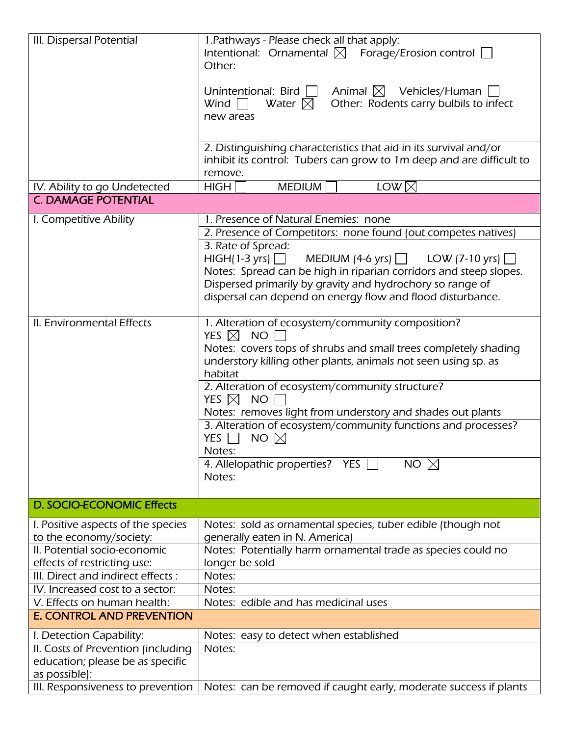| III. Dispersal Potential                                   | 1. Pathways - Please check all that apply:<br>Intentional: Ornamental $\boxtimes$ Forage/Erosion control $\Box$<br>Other:<br>Unintentional: Bird $\Box$ Animal $\boxtimes$ Vehicles/Human [<br>Other: Rodents carry bulbils to infect<br>Wind $\Box$<br>Water $\boxtimes$<br>new areas         |
|------------------------------------------------------------|------------------------------------------------------------------------------------------------------------------------------------------------------------------------------------------------------------------------------------------------------------------------------------------------|
|                                                            | 2. Distinguishing characteristics that aid in its survival and/or<br>inhibit its control: Tubers can grow to 1m deep and are difficult to<br>remove.                                                                                                                                           |
| IV. Ability to go Undetected<br><b>C. DAMAGE POTENTIAL</b> | <b>MEDIUM</b><br>LOW $\boxtimes$<br>HIGH                                                                                                                                                                                                                                                       |
|                                                            |                                                                                                                                                                                                                                                                                                |
| I. Competitive Ability                                     | 1. Presence of Natural Enemies: none                                                                                                                                                                                                                                                           |
|                                                            | 2. Presence of Competitors: none found (out competes natives)                                                                                                                                                                                                                                  |
|                                                            | 3. Rate of Spread:<br>$HIGH(1-3 \text{ yrs})$<br>MEDIUM (4-6 yrs) $\Box$ LOW (7-10 yrs) $\Box$<br>Notes: Spread can be high in riparian corridors and steep slopes.<br>Dispersed primarily by gravity and hydrochory so range of<br>dispersal can depend on energy flow and flood disturbance. |
| II. Environmental Effects                                  | 1. Alteration of ecosystem/community composition?<br>YES $\boxtimes$<br><b>NO</b><br>Notes: covers tops of shrubs and small trees completely shading<br>understory killing other plants, animals not seen using sp. as<br>habitat                                                              |
|                                                            | 2. Alteration of ecosystem/community structure?<br>YES $\boxtimes$<br><b>NO</b><br>Notes: removes light from understory and shades out plants                                                                                                                                                  |
|                                                            | 3. Alteration of ecosystem/community functions and processes?<br>NO $\boxtimes$<br>YES $\Box$<br>Notes:                                                                                                                                                                                        |
|                                                            | 4. Allelopathic properties? YES<br>NO $\boxtimes$<br>Notes:                                                                                                                                                                                                                                    |
| <b>D. SOCIO-ECONOMIC Effects</b>                           |                                                                                                                                                                                                                                                                                                |
| I. Positive aspects of the species                         | Notes: sold as ornamental species, tuber edible (though not                                                                                                                                                                                                                                    |
| to the economy/society:                                    | generally eaten in N. America)                                                                                                                                                                                                                                                                 |
| II. Potential socio-economic                               | Notes: Potentially harm ornamental trade as species could no                                                                                                                                                                                                                                   |
| effects of restricting use:                                | longer be sold                                                                                                                                                                                                                                                                                 |
| III. Direct and indirect effects:                          | Notes:                                                                                                                                                                                                                                                                                         |
| IV. Increased cost to a sector:                            | Notes:                                                                                                                                                                                                                                                                                         |
| V. Effects on human health:                                | Notes: edible and has medicinal uses                                                                                                                                                                                                                                                           |
| <b>E. CONTROL AND PREVENTION</b>                           |                                                                                                                                                                                                                                                                                                |
| I. Detection Capability:                                   | Notes: easy to detect when established                                                                                                                                                                                                                                                         |
| II. Costs of Prevention (including                         | Notes:                                                                                                                                                                                                                                                                                         |
| education; please be as specific                           |                                                                                                                                                                                                                                                                                                |
| as possible):                                              |                                                                                                                                                                                                                                                                                                |
| III. Responsiveness to prevention                          | Notes: can be removed if caught early, moderate success if plants                                                                                                                                                                                                                              |